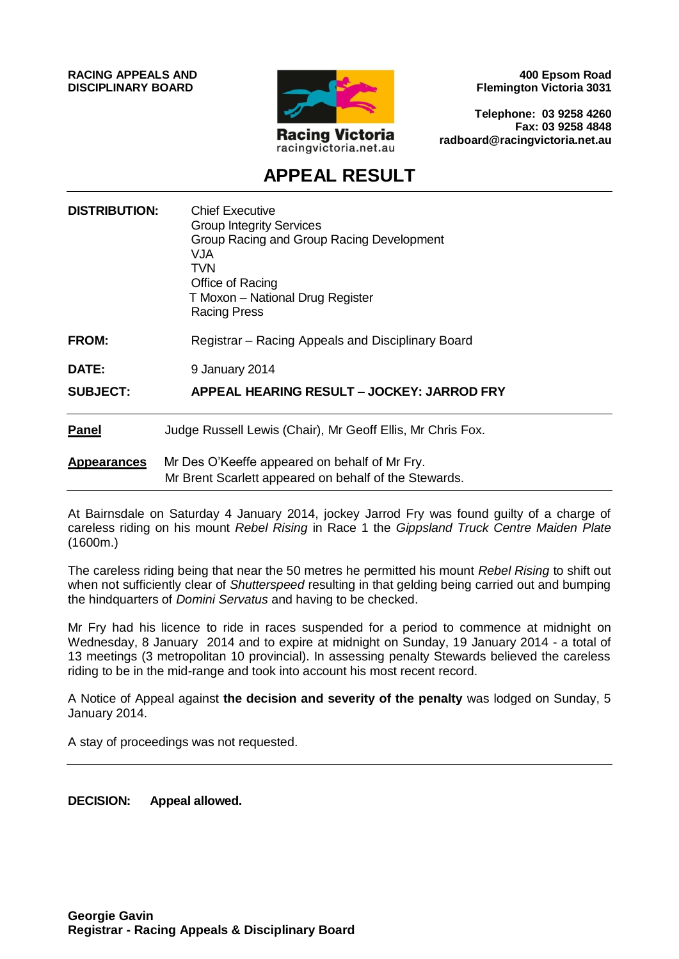**RACING APPEALS AND DISCIPLINARY BOARD**



**400 Epsom Road Flemington Victoria 3031**

**Telephone: 03 9258 4260 Fax: 03 9258 4848 radboard@racingvictoria.net.au**

# **APPEAL RESULT**

| <b>DISTRIBUTION:</b> | <b>Chief Executive</b><br><b>Group Integrity Services</b><br>Group Racing and Group Racing Development<br>VJA<br><b>TVN</b><br>Office of Racing<br>T Moxon – National Drug Register<br>Racing Press |
|----------------------|-----------------------------------------------------------------------------------------------------------------------------------------------------------------------------------------------------|
| <b>FROM:</b>         | Registrar – Racing Appeals and Disciplinary Board                                                                                                                                                   |
| <b>DATE:</b>         | 9 January 2014                                                                                                                                                                                      |
| <b>SUBJECT:</b>      | APPEAL HEARING RESULT - JOCKEY: JARROD FRY                                                                                                                                                          |
| <b>Panel</b>         | Judge Russell Lewis (Chair), Mr Geoff Ellis, Mr Chris Fox.                                                                                                                                          |
| <b>Appearances</b>   | Mr Des O'Keeffe appeared on behalf of Mr Fry.<br>Mr Brent Scarlett appeared on behalf of the Stewards.                                                                                              |

At Bairnsdale on Saturday 4 January 2014, jockey Jarrod Fry was found guilty of a charge of careless riding on his mount *Rebel Rising* in Race 1 the *Gippsland Truck Centre Maiden Plate*  (1600m.)

The careless riding being that near the 50 metres he permitted his mount *Rebel Rising* to shift out when not sufficiently clear of *Shutterspeed* resulting in that gelding being carried out and bumping the hindquarters of *Domini Servatus* and having to be checked.

Mr Fry had his licence to ride in races suspended for a period to commence at midnight on Wednesday, 8 January 2014 and to expire at midnight on Sunday, 19 January 2014 - a total of 13 meetings (3 metropolitan 10 provincial). In assessing penalty Stewards believed the careless riding to be in the mid-range and took into account his most recent record.

A Notice of Appeal against **the decision and severity of the penalty** was lodged on Sunday, 5 January 2014.

A stay of proceedings was not requested.

**DECISION: Appeal allowed.**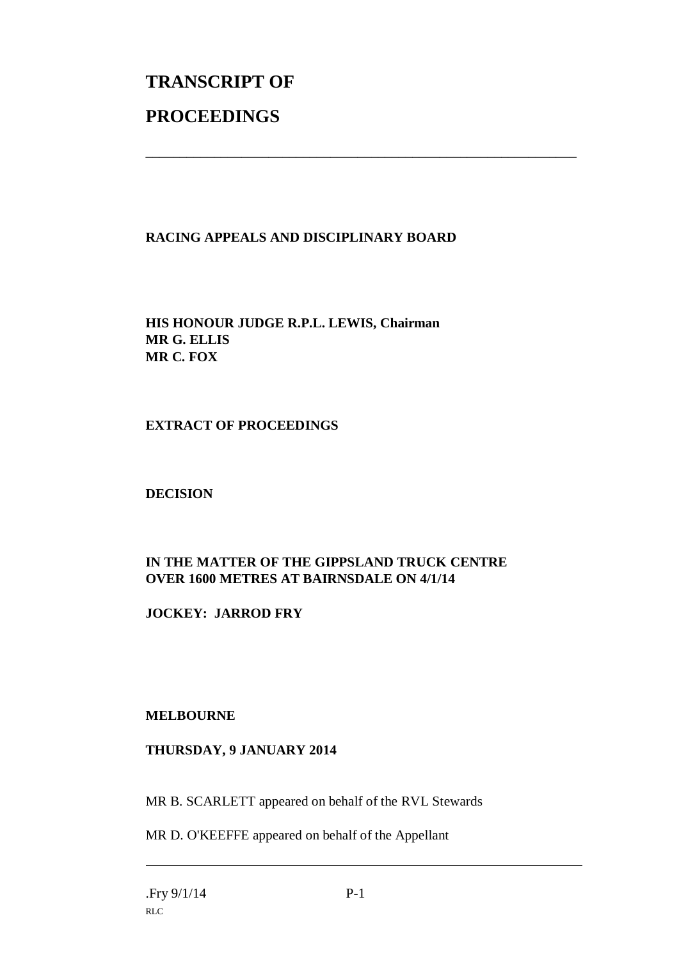# **TRANSCRIPT OF PROCEEDINGS**

### **RACING APPEALS AND DISCIPLINARY BOARD**

\_\_\_\_\_\_\_\_\_\_\_\_\_\_\_\_\_\_\_\_\_\_\_\_\_\_\_\_\_\_\_\_\_\_\_\_\_\_\_\_\_\_\_\_\_\_\_\_\_\_\_\_\_\_\_\_\_\_\_\_\_\_\_

**HIS HONOUR JUDGE R.P.L. LEWIS, Chairman MR G. ELLIS MR C. FOX**

**EXTRACT OF PROCEEDINGS**

**DECISION**

## **IN THE MATTER OF THE GIPPSLAND TRUCK CENTRE OVER 1600 METRES AT BAIRNSDALE ON 4/1/14**

**JOCKEY: JARROD FRY**

#### **MELBOURNE**

#### **THURSDAY, 9 JANUARY 2014**

MR B. SCARLETT appeared on behalf of the RVL Stewards

MR D. O'KEEFFE appeared on behalf of the Appellant